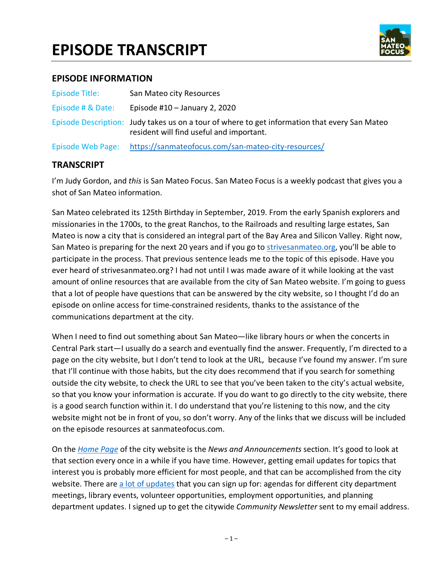

#### **EPISODE INFORMATION**

| Episode Title:    | San Mateo city Resources                                                                                                                  |
|-------------------|-------------------------------------------------------------------------------------------------------------------------------------------|
| Episode # & Date: | Episode #10 $-$ January 2, 2020                                                                                                           |
|                   | Episode Description: Judy takes us on a tour of where to get information that every San Mateo<br>resident will find useful and important. |
| Episode Web Page: | https://sanmateofocus.com/san-mateo-city-resources/                                                                                       |

#### **TRANSCRIPT**

I'm Judy Gordon, and *this* is San Mateo Focus. San Mateo Focus is a weekly podcast that gives you a shot of San Mateo information.

San Mateo celebrated its 125th Birthday in September, 2019. From the early Spanish explorers and missionaries in the 1700s, to the great Ranchos, to the Railroads and resulting large estates, San Mateo is now a city that is considered an integral part of the Bay Area and Silicon Valley. Right now, San Mateo is preparing for the next 20 years and if you go to strivesanmateo.org, you'll be able to participate in the process. That previous sentence leads me to the topic of this episode. Have you ever heard of strivesanmateo.org? I had not until I was made aware of it while looking at the vast amount of online resources that are available from the city of San Mateo website. I'm going to guess that a lot of people have questions that can be answered by the city website, so I thought I'd do an episode on online access for time-constrained residents, thanks to the assistance of the communications department at the city.

When I need to find out something about San Mateo—like library hours or when the concerts in Central Park start—I usually do a search and eventually find the answer. Frequently, I'm directed to a page on the city website, but I don't tend to look at the URL, because I've found my answer. I'm sure that I'll continue with those habits, but the city does recommend that if you search for something outside the city website, to check the URL to see that you've been taken to the city's actual website, so that you know your information is accurate. If you do want to go directly to the city website, there is a good search function within it. I do understand that you're listening to this now, and the city website might not be in front of you, so don't worry. Any of the links that we discuss will be included on the episode resources at sanmateofocus.com.

On the *Home Page* of the city website is the *News and Announcements* section. It's good to look at that section every once in a while if you have time. However, getting email updates for topics that interest you is probably more efficient for most people, and that can be accomplished from the city website. There are a lot of updates that you can sign up for: agendas for different city department meetings, library events, volunteer opportunities, employment opportunities, and planning department updates. I signed up to get the citywide *Community Newsletter* sent to my email address.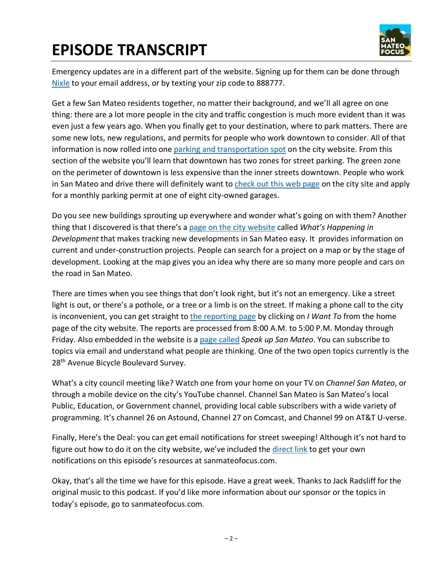

Emergency updates are in a different part of the website. Signing up for them can be done through Nixle to your email address, or by texting your zip code to 888777.

Get a few San Mateo residents together, no matter their background, and we'll all agree on one thing: there are a lot more people in the city and traffic congestion is much more evident than it was even just a few years ago. When you finally get to your destination, where to park matters. There are some new lots, new regulations, and permits for people who work downtown to consider. All of that information is now rolled into one parking and transportation spot on the city website. From this section of the website you'll learn that downtown has two zones for street parking. The green zone on the perimeter of downtown is less expensive than the inner streets downtown. People who work in San Mateo and drive there will definitely want to check out this web page on the city site and apply for a monthly parking permit at one of eight city-owned garages.

Do you see new buildings sprouting up everywhere and wonder what's going on with them? Another thing that I discovered is that there's a page on the city website called *What's Happening in Development* that makes tracking new developments in San Mateo easy. It provides information on current and under-construction projects. People can search for a project on a map or by the stage of development. Looking at the map gives you an idea why there are so many more people and cars on the road in San Mateo.

There are times when you see things that don't look right, but it's not an emergency. Like a street light is out, or there's a pothole, or a tree or a limb is on the street. If making a phone call to the city is inconvenient, you can get straight to the reporting page by clicking on *I Want To* from the home page of the city website. The reports are processed from 8:00 A.M. to 5:00 P.M. Monday through Friday. Also embedded in the website is a page called *Speak up San Mateo*. You can subscribe to topics via email and understand what people are thinking. One of the two open topics currently is the 28<sup>th</sup> Avenue Bicycle Boulevard Survey.

What's a city council meeting like? Watch one from your home on your TV on *Channel San Mateo*, or through a mobile device on the city's YouTube channel. Channel San Mateo is San Mateo's local Public, Education, or Government channel, providing local cable subscribers with a wide variety of programming. It's channel 26 on Astound, Channel 27 on Comcast, and Channel 99 on AT&T U-verse.

Finally, Here's the Deal: you can get email notifications for street sweeping! Although it's not hard to figure out how to do it on the city website, we've included the direct link to get your own notifications on this episode's resources at sanmateofocus.com.

Okay, that's all the time we have for this episode. Have a great week. Thanks to Jack Radsliff for the original music to this podcast. If you'd like more information about our sponsor or the topics in today's episode, go to sanmateofocus.com.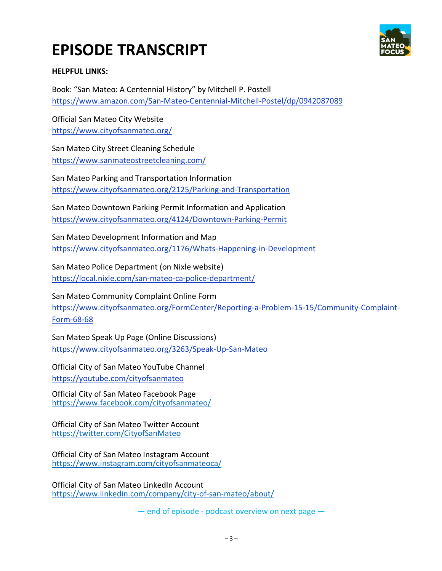

#### **HELPFUL LINKS:**

Book: "San Mateo: A Centennial History" by Mitchell P. Postell https://www.amazon.com/San-Mateo-Centennial-Mitchell-Postel/dp/0942087089

Official San Mateo City Website https://www.cityofsanmateo.org/

San Mateo City Street Cleaning Schedule https://www.sanmateostreetcleaning.com/

San Mateo Parking and Transportation Information https://www.cityofsanmateo.org/2125/Parking-and-Transportation

San Mateo Downtown Parking Permit Information and Application https://www.cityofsanmateo.org/4124/Downtown-Parking-Permit

San Mateo Development Information and Map https://www.cityofsanmateo.org/1176/Whats-Happening-in-Development

San Mateo Police Department (on Nixle website) https://local.nixle.com/san-mateo-ca-police-department/

San Mateo Community Complaint Online Form https://www.cityofsanmateo.org/FormCenter/Reporting-a-Problem-15-15/Community-Complaint-Form-68-68

San Mateo Speak Up Page (Online Discussions) https://www.cityofsanmateo.org/3263/Speak-Up-San-Mateo

Official City of San Mateo YouTube Channel https://youtube.com/cityofsanmateo

Official City of San Mateo Facebook Page https://www.facebook.com/cityofsanmateo/

Official City of San Mateo Twitter Account https://twitter.com/CityofSanMateo

Official City of San Mateo Instagram Account https://www.instagram.com/cityofsanmateoca/

Official City of San Mateo LinkedIn Account https://www.linkedin.com/company/city-of-san-mateo/about/

— end of episode - podcast overview on next page —